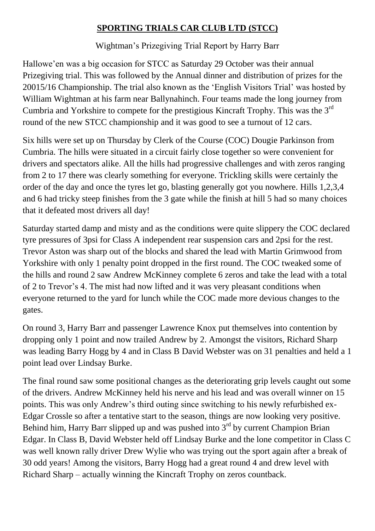## **SPORTING TRIALS CAR CLUB LTD (STCC)**

Wightman's Prizegiving Trial Report by Harry Barr

Hallowe'en was a big occasion for STCC as Saturday 29 October was their annual Prizegiving trial. This was followed by the Annual dinner and distribution of prizes for the 20015/16 Championship. The trial also known as the 'English Visitors Trial' was hosted by William Wightman at his farm near Ballynahinch. Four teams made the long journey from Cumbria and Yorkshire to compete for the prestigious Kincraft Trophy. This was the 3rd round of the new STCC championship and it was good to see a turnout of 12 cars.

Six hills were set up on Thursday by Clerk of the Course (COC) Dougie Parkinson from Cumbria. The hills were situated in a circuit fairly close together so were convenient for drivers and spectators alike. All the hills had progressive challenges and with zeros ranging from 2 to 17 there was clearly something for everyone. Trickling skills were certainly the order of the day and once the tyres let go, blasting generally got you nowhere. Hills 1,2,3,4 and 6 had tricky steep finishes from the 3 gate while the finish at hill 5 had so many choices that it defeated most drivers all day!

Saturday started damp and misty and as the conditions were quite slippery the COC declared tyre pressures of 3psi for Class A independent rear suspension cars and 2psi for the rest. Trevor Aston was sharp out of the blocks and shared the lead with Martin Grimwood from Yorkshire with only 1 penalty point dropped in the first round. The COC tweaked some of the hills and round 2 saw Andrew McKinney complete 6 zeros and take the lead with a total of 2 to Trevor's 4. The mist had now lifted and it was very pleasant conditions when everyone returned to the yard for lunch while the COC made more devious changes to the gates.

On round 3, Harry Barr and passenger Lawrence Knox put themselves into contention by dropping only 1 point and now trailed Andrew by 2. Amongst the visitors, Richard Sharp was leading Barry Hogg by 4 and in Class B David Webster was on 31 penalties and held a 1 point lead over Lindsay Burke.

The final round saw some positional changes as the deteriorating grip levels caught out some of the drivers. Andrew McKinney held his nerve and his lead and was overall winner on 15 points. This was only Andrew's third outing since switching to his newly refurbished ex-Edgar Crossle so after a tentative start to the season, things are now looking very positive. Behind him, Harry Barr slipped up and was pushed into  $3<sup>rd</sup>$  by current Champion Brian Edgar. In Class B, David Webster held off Lindsay Burke and the lone competitor in Class C was well known rally driver Drew Wylie who was trying out the sport again after a break of 30 odd years! Among the visitors, Barry Hogg had a great round 4 and drew level with Richard Sharp – actually winning the Kincraft Trophy on zeros countback.